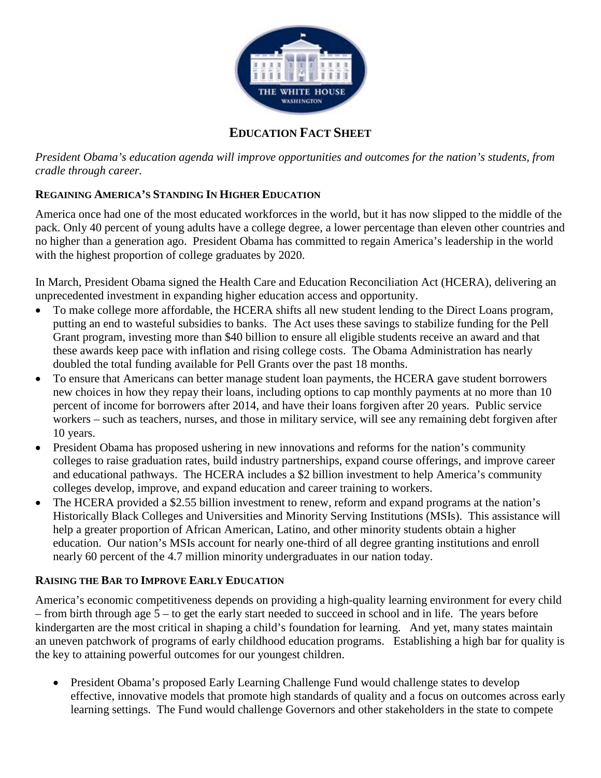

# **EDUCATION FACT SHEET**

*President Obama's education agenda will improve opportunities and outcomes for the nation's students, from cradle through career.* 

# **REGAINING AMERICA'S STANDING IN HIGHER EDUCATION**

America once had one of the most educated workforces in the world, but it has now slipped to the middle of the pack. Only 40 percent of young adults have a college degree, a lower percentage than eleven other countries and no higher than a generation ago. President Obama has committed to regain America's leadership in the world with the highest proportion of college graduates by 2020.

In March, President Obama signed the Health Care and Education Reconciliation Act (HCERA), delivering an unprecedented investment in expanding higher education access and opportunity.

- To make college more affordable, the HCERA shifts all new student lending to the Direct Loans program, putting an end to wasteful subsidies to banks. The Act uses these savings to stabilize funding for the Pell Grant program, investing more than \$40 billion to ensure all eligible students receive an award and that these awards keep pace with inflation and rising college costs. The Obama Administration has nearly doubled the total funding available for Pell Grants over the past 18 months.
- To ensure that Americans can better manage student loan payments, the HCERA gave student borrowers new choices in how they repay their loans, including options to cap monthly payments at no more than 10 percent of income for borrowers after 2014, and have their loans forgiven after 20 years. Public service workers – such as teachers, nurses, and those in military service, will see any remaining debt forgiven after 10 years.
- President Obama has proposed ushering in new innovations and reforms for the nation's community colleges to raise graduation rates, build industry partnerships, expand course offerings, and improve career and educational pathways. The HCERA includes a \$2 billion investment to help America's community colleges develop, improve, and expand education and career training to workers.
- The HCERA provided a \$2.55 billion investment to renew, reform and expand programs at the nation's Historically Black Colleges and Universities and Minority Serving Institutions (MSIs). This assistance will help a greater proportion of African American, Latino, and other minority students obtain a higher education. Our nation's MSIs account for nearly one-third of all degree granting institutions and enroll nearly 60 percent of the 4.7 million minority undergraduates in our nation today.

### **RAISING THE BAR TO IMPROVE EARLY EDUCATION**

America's economic competitiveness depends on providing a high-quality learning environment for every child – from birth through age 5 – to get the early start needed to succeed in school and in life. The years before kindergarten are the most critical in shaping a child's foundation for learning. And yet, many states maintain an uneven patchwork of programs of early childhood education programs. Establishing a high bar for quality is the key to attaining powerful outcomes for our youngest children.

• President Obama's proposed Early Learning Challenge Fund would challenge states to develop effective, innovative models that promote high standards of quality and a focus on outcomes across early learning settings. The Fund would challenge Governors and other stakeholders in the state to compete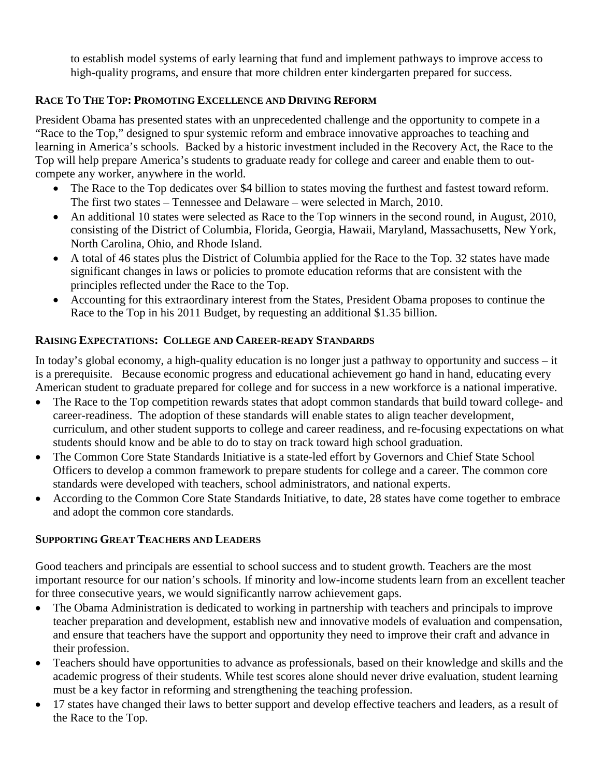to establish model systems of early learning that fund and implement pathways to improve access to high-quality programs, and ensure that more children enter kindergarten prepared for success.

# **RACE TO THE TOP: PROMOTING EXCELLENCE AND DRIVING REFORM**

President Obama has presented states with an unprecedented challenge and the opportunity to compete in a "Race to the Top," designed to spur systemic reform and embrace innovative approaches to teaching and learning in America's schools. Backed by a historic investment included in the Recovery Act, the Race to the Top will help prepare America's students to graduate ready for college and career and enable them to outcompete any worker, anywhere in the world.

- The Race to the Top dedicates over \$4 billion to states moving the furthest and fastest toward reform. The first two states – Tennessee and Delaware – were selected in March, 2010.
- An additional 10 states were selected as Race to the Top winners in the second round, in August, 2010, consisting of the District of Columbia, Florida, Georgia, Hawaii, Maryland, Massachusetts, New York, North Carolina, Ohio, and Rhode Island.
- A total of 46 states plus the District of Columbia applied for the Race to the Top. 32 states have made significant changes in laws or policies to promote education reforms that are consistent with the principles reflected under the Race to the Top.
- Accounting for this extraordinary interest from the States, President Obama proposes to continue the Race to the Top in his 2011 Budget, by requesting an additional \$1.35 billion.

### **RAISING EXPECTATIONS: COLLEGE AND CAREER-READY STANDARDS**

In today's global economy, a high-quality education is no longer just a pathway to opportunity and success – it is a prerequisite. Because economic progress and educational achievement go hand in hand, educating every American student to graduate prepared for college and for success in a new workforce is a national imperative.

- The Race to the Top competition rewards states that adopt common standards that build toward college- and career-readiness. The adoption of these standards will enable states to align teacher development, curriculum, and other student supports to college and career readiness, and re-focusing expectations on what students should know and be able to do to stay on track toward high school graduation.
- The Common Core State Standards Initiative is a state-led effort by Governors and Chief State School Officers to develop a common framework to prepare students for college and a career. The common core standards were developed with teachers, school administrators, and national experts.
- According to the Common Core State Standards Initiative, to date, 28 states have come together to embrace and adopt the common core standards.

### **SUPPORTING GREAT TEACHERS AND LEADERS**

Good teachers and principals are essential to school success and to student growth. Teachers are the most important resource for our nation's schools. If minority and low-income students learn from an excellent teacher for three consecutive years, we would significantly narrow achievement gaps.

- The Obama Administration is dedicated to working in partnership with teachers and principals to improve teacher preparation and development, establish new and innovative models of evaluation and compensation, and ensure that teachers have the support and opportunity they need to improve their craft and advance in their profession.
- Teachers should have opportunities to advance as professionals, based on their knowledge and skills and the academic progress of their students. While test scores alone should never drive evaluation, student learning must be a key factor in reforming and strengthening the teaching profession.
- 17 states have changed their laws to better support and develop effective teachers and leaders, as a result of the Race to the Top.